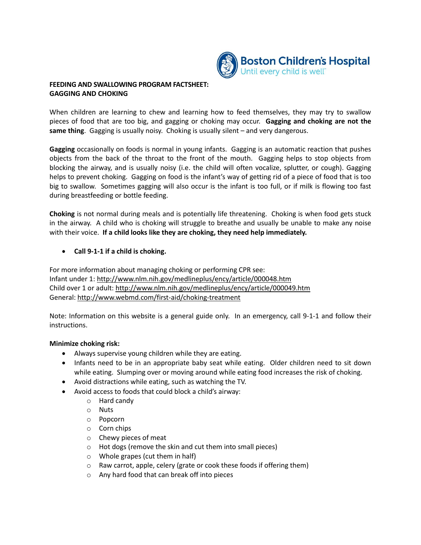

## **FEEDING AND SWALLOWING PROGRAM FACTSHEET: GAGGING AND CHOKING**

When children are learning to chew and learning how to feed themselves, they may try to swallow pieces of food that are too big, and gagging or choking may occur. **Gagging and choking are not the same thing**. Gagging is usually noisy. Choking is usually silent – and very dangerous.

**Gagging** occasionally on foods is normal in young infants. Gagging is an automatic reaction that pushes objects from the back of the throat to the front of the mouth. Gagging helps to stop objects from blocking the airway, and is usually noisy (i.e. the child will often vocalize, splutter, or cough). Gagging helps to prevent choking. Gagging on food is the infant's way of getting rid of a piece of food that is too big to swallow. Sometimes gagging will also occur is the infant is too full, or if milk is flowing too fast during breastfeeding or bottle feeding.

**Choking** is not normal during meals and is potentially life threatening. Choking is when food gets stuck in the airway. A child who is choking will struggle to breathe and usually be unable to make any noise with their voice. **If a child looks like they are choking, they need help immediately.**

## **Call 9-1-1 if a child is choking.**

For more information about managing choking or performing CPR see: Infant under 1:<http://www.nlm.nih.gov/medlineplus/ency/article/000048.htm> Child over 1 or adult:<http://www.nlm.nih.gov/medlineplus/ency/article/000049.htm> General: [http://www.webmd.com/first](http://www.webmd.com/first-aid/choking-treatment)-aid/choking-treatment

Note: Information on this website is a general guide only. In an emergency, call 9-1-1 and follow their instructions.

## **Minimize choking risk:**

- Always supervise young children while they are eating.
- Infants need to be in an appropriate baby seat while eating. Older children need to sit down while eating. Slumping over or moving around while eating food increases the risk of choking.
- Avoid distractions while eating, such as watching the TV.
- Avoid access to foods that could block a child's airway:
	- o Hard candy
	- o Nuts
	- o Popcorn
	- o Corn chips
	- o Chewy pieces of meat
	- o Hot dogs (remove the skin and cut them into small pieces)
	- o Whole grapes (cut them in half)
	- o Raw carrot, apple, celery (grate or cook these foods if offering them)
	- o Any hard food that can break off into pieces